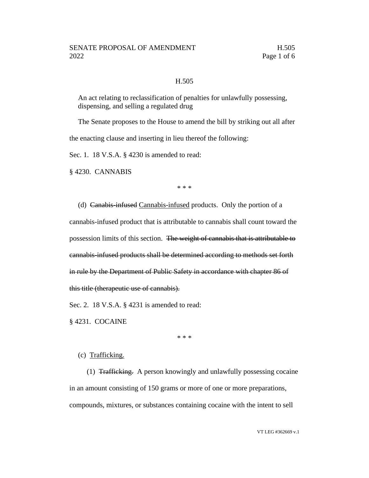#### H.505

An act relating to reclassification of penalties for unlawfully possessing, dispensing, and selling a regulated drug

The Senate proposes to the House to amend the bill by striking out all after

the enacting clause and inserting in lieu thereof the following:

Sec. 1. 18 V.S.A. § 4230 is amended to read:

§ 4230. CANNABIS

\* \* \*

(d) Canabis-infused Cannabis-infused products. Only the portion of a cannabis-infused product that is attributable to cannabis shall count toward the possession limits of this section. The weight of cannabis that is attributable to cannabis-infused products shall be determined according to methods set forth in rule by the Department of Public Safety in accordance with chapter 86 of this title (therapeutic use of cannabis).

Sec. 2. 18 V.S.A. § 4231 is amended to read:

§ 4231. COCAINE

\* \* \*

### (c) Trafficking.

(1) Trafficking. A person knowingly and unlawfully possessing cocaine in an amount consisting of 150 grams or more of one or more preparations, compounds, mixtures, or substances containing cocaine with the intent to sell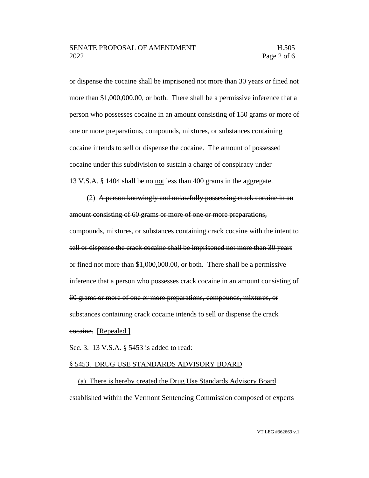or dispense the cocaine shall be imprisoned not more than 30 years or fined not more than \$1,000,000.00, or both. There shall be a permissive inference that a person who possesses cocaine in an amount consisting of 150 grams or more of one or more preparations, compounds, mixtures, or substances containing cocaine intends to sell or dispense the cocaine. The amount of possessed cocaine under this subdivision to sustain a charge of conspiracy under 13 V.S.A. § 1404 shall be not less than 400 grams in the aggregate.

(2) A person knowingly and unlawfully possessing crack cocaine in an amount consisting of 60 grams or more of one or more preparations, compounds, mixtures, or substances containing crack cocaine with the intent to sell or dispense the crack cocaine shall be imprisoned not more than 30 years or fined not more than \$1,000,000.00, or both. There shall be a permissive inference that a person who possesses crack cocaine in an amount consisting of 60 grams or more of one or more preparations, compounds, mixtures, or substances containing crack cocaine intends to sell or dispense the crack cocaine. [Repealed.]

Sec. 3. 13 V.S.A. § 5453 is added to read:

#### § 5453. DRUG USE STANDARDS ADVISORY BOARD

(a) There is hereby created the Drug Use Standards Advisory Board established within the Vermont Sentencing Commission composed of experts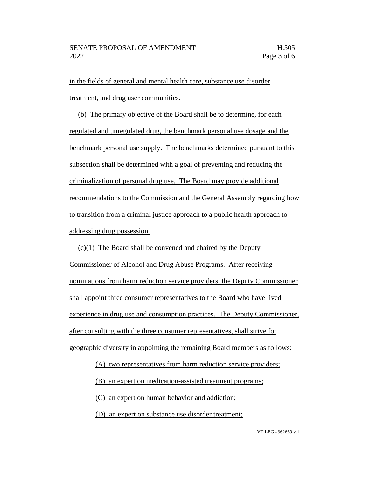in the fields of general and mental health care, substance use disorder treatment, and drug user communities.

(b) The primary objective of the Board shall be to determine, for each regulated and unregulated drug, the benchmark personal use dosage and the benchmark personal use supply. The benchmarks determined pursuant to this subsection shall be determined with a goal of preventing and reducing the criminalization of personal drug use. The Board may provide additional recommendations to the Commission and the General Assembly regarding how to transition from a criminal justice approach to a public health approach to addressing drug possession.

(c)(1) The Board shall be convened and chaired by the Deputy Commissioner of Alcohol and Drug Abuse Programs. After receiving nominations from harm reduction service providers, the Deputy Commissioner shall appoint three consumer representatives to the Board who have lived experience in drug use and consumption practices. The Deputy Commissioner, after consulting with the three consumer representatives, shall strive for geographic diversity in appointing the remaining Board members as follows:

(A) two representatives from harm reduction service providers;

(B) an expert on medication-assisted treatment programs;

(C) an expert on human behavior and addiction;

(D) an expert on substance use disorder treatment;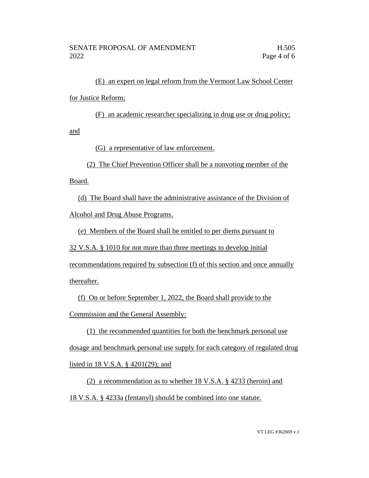(E) an expert on legal reform from the Vermont Law School Center for Justice Reform;

(F) an academic researcher specializing in drug use or drug policy;

and

(G) a representative of law enforcement.

(2) The Chief Prevention Officer shall be a nonvoting member of the

Board.

(d) The Board shall have the administrative assistance of the Division of Alcohol and Drug Abuse Programs.

(e) Members of the Board shall be entitled to per diems pursuant to

32 V.S.A. § 1010 for not more than three meetings to develop initial

recommendations required by subsection (f) of this section and once annually

thereafter.

(f) On or before September 1, 2022, the Board shall provide to the Commission and the General Assembly:

(1) the recommended quantities for both the benchmark personal use dosage and benchmark personal use supply for each category of regulated drug listed in 18 V.S.A. § 4201(29); and

(2) a recommendation as to whether 18 V.S.A. § 4233 (heroin) and 18 V.S.A. § 4233a (fentanyl) should be combined into one statute.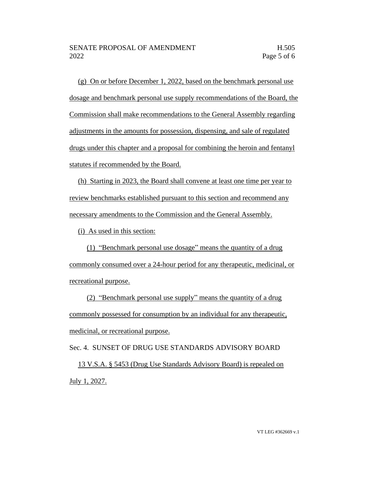(g) On or before December 1, 2022, based on the benchmark personal use dosage and benchmark personal use supply recommendations of the Board, the Commission shall make recommendations to the General Assembly regarding adjustments in the amounts for possession, dispensing, and sale of regulated drugs under this chapter and a proposal for combining the heroin and fentanyl statutes if recommended by the Board.

(h) Starting in 2023, the Board shall convene at least one time per year to review benchmarks established pursuant to this section and recommend any necessary amendments to the Commission and the General Assembly.

(i) As used in this section:

(1) "Benchmark personal use dosage" means the quantity of a drug commonly consumed over a 24-hour period for any therapeutic, medicinal, or recreational purpose.

(2) "Benchmark personal use supply" means the quantity of a drug commonly possessed for consumption by an individual for any therapeutic, medicinal, or recreational purpose.

Sec. 4. SUNSET OF DRUG USE STANDARDS ADVISORY BOARD 13 V.S.A. § 5453 (Drug Use Standards Advisory Board) is repealed on July 1, 2027.